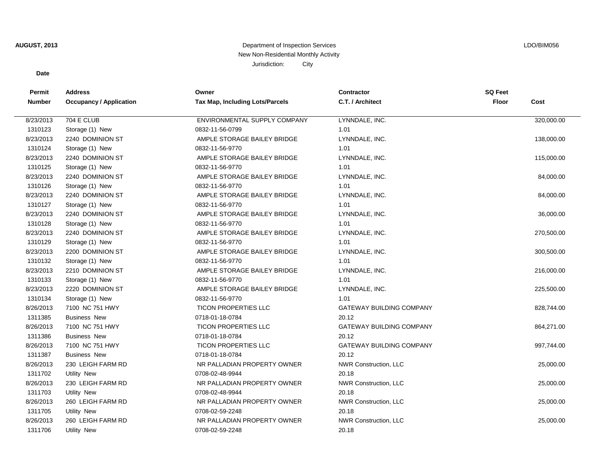## **AUGUST, 2013** Department of Inspection Services New Non-Residential Monthly Activity Jurisdiction: City

## LDO/BIM056

## **Date**

| Permit        | <b>Address</b>                 | Owner                                  | <b>Contractor</b>               | <b>SQ Feet</b> |            |
|---------------|--------------------------------|----------------------------------------|---------------------------------|----------------|------------|
| <b>Number</b> | <b>Occupancy / Application</b> | <b>Tax Map, Including Lots/Parcels</b> | C.T. / Architect                | <b>Floor</b>   | Cost       |
| 8/23/2013     | <b>704 E CLUB</b>              | ENVIRONMENTAL SUPPLY COMPANY           | LYNNDALE, INC.                  |                | 320,000.00 |
|               |                                |                                        | 1.01                            |                |            |
| 1310123       | Storage (1) New                | 0832-11-56-0799                        |                                 |                |            |
| 8/23/2013     | 2240 DOMINION ST               | AMPLE STORAGE BAILEY BRIDGE            | LYNNDALE, INC.                  |                | 138,000.00 |
| 1310124       | Storage (1) New                | 0832-11-56-9770                        | 1.01                            |                |            |
| 8/23/2013     | 2240 DOMINION ST               | AMPLE STORAGE BAILEY BRIDGE            | LYNNDALE, INC.                  |                | 115,000.00 |
| 1310125       | Storage (1) New                | 0832-11-56-9770                        | 1.01                            |                |            |
| 8/23/2013     | 2240 DOMINION ST               | AMPLE STORAGE BAILEY BRIDGE            | LYNNDALE, INC.                  |                | 84,000.00  |
| 1310126       | Storage (1) New                | 0832-11-56-9770                        | 1.01                            |                |            |
| 8/23/2013     | 2240 DOMINION ST               | AMPLE STORAGE BAILEY BRIDGE            | LYNNDALE, INC.                  |                | 84,000.00  |
| 1310127       | Storage (1) New                | 0832-11-56-9770                        | 1.01                            |                |            |
| 8/23/2013     | 2240 DOMINION ST               | AMPLE STORAGE BAILEY BRIDGE            | LYNNDALE, INC.                  |                | 36,000.00  |
| 1310128       | Storage (1) New                | 0832-11-56-9770                        | 1.01                            |                |            |
| 8/23/2013     | 2240 DOMINION ST               | AMPLE STORAGE BAILEY BRIDGE            | LYNNDALE, INC.                  |                | 270,500.00 |
| 1310129       | Storage (1) New                | 0832-11-56-9770                        | 1.01                            |                |            |
| 8/23/2013     | 2200 DOMINION ST               | AMPLE STORAGE BAILEY BRIDGE            | LYNNDALE, INC.                  |                | 300,500.00 |
| 1310132       | Storage (1) New                | 0832-11-56-9770                        | 1.01                            |                |            |
| 8/23/2013     | 2210 DOMINION ST               | AMPLE STORAGE BAILEY BRIDGE            | LYNNDALE, INC.                  |                | 216,000.00 |
| 1310133       | Storage (1) New                | 0832-11-56-9770                        | 1.01                            |                |            |
| 8/23/2013     | 2220 DOMINION ST               | AMPLE STORAGE BAILEY BRIDGE            | LYNNDALE, INC.                  |                | 225,500.00 |
| 1310134       | Storage (1) New                | 0832-11-56-9770                        | 1.01                            |                |            |
| 8/26/2013     | 7100 NC 751 HWY                | <b>TICON PROPERTIES LLC</b>            | <b>GATEWAY BUILDING COMPANY</b> |                | 828,744.00 |
| 1311385       | <b>Business New</b>            | 0718-01-18-0784                        | 20.12                           |                |            |
| 8/26/2013     | 7100 NC 751 HWY                | <b>TICON PROPERTIES LLC</b>            | <b>GATEWAY BUILDING COMPANY</b> |                | 864,271.00 |
| 1311386       | <b>Business New</b>            | 0718-01-18-0784                        | 20.12                           |                |            |
| 8/26/2013     | 7100 NC 751 HWY                | <b>TICON PROPERTIES LLC</b>            | <b>GATEWAY BUILDING COMPANY</b> |                | 997,744.00 |
| 1311387       | <b>Business New</b>            | 0718-01-18-0784                        | 20.12                           |                |            |
| 8/26/2013     | 230 LEIGH FARM RD              | NR PALLADIAN PROPERTY OWNER            | <b>NWR Construction, LLC</b>    |                | 25,000.00  |
| 1311702       | <b>Utility New</b>             | 0708-02-48-9944                        | 20.18                           |                |            |
| 8/26/2013     | 230 LEIGH FARM RD              | NR PALLADIAN PROPERTY OWNER            | <b>NWR Construction, LLC</b>    |                | 25,000.00  |
| 1311703       | Utility New                    | 0708-02-48-9944                        | 20.18                           |                |            |
| 8/26/2013     | 260 LEIGH FARM RD              | NR PALLADIAN PROPERTY OWNER            | <b>NWR Construction, LLC</b>    |                | 25,000.00  |
| 1311705       | Utility New                    | 0708-02-59-2248                        | 20.18                           |                |            |
| 8/26/2013     | 260 LEIGH FARM RD              | NR PALLADIAN PROPERTY OWNER            | <b>NWR Construction, LLC</b>    |                | 25,000.00  |
| 1311706       | <b>Utility New</b>             | 0708-02-59-2248                        | 20.18                           |                |            |